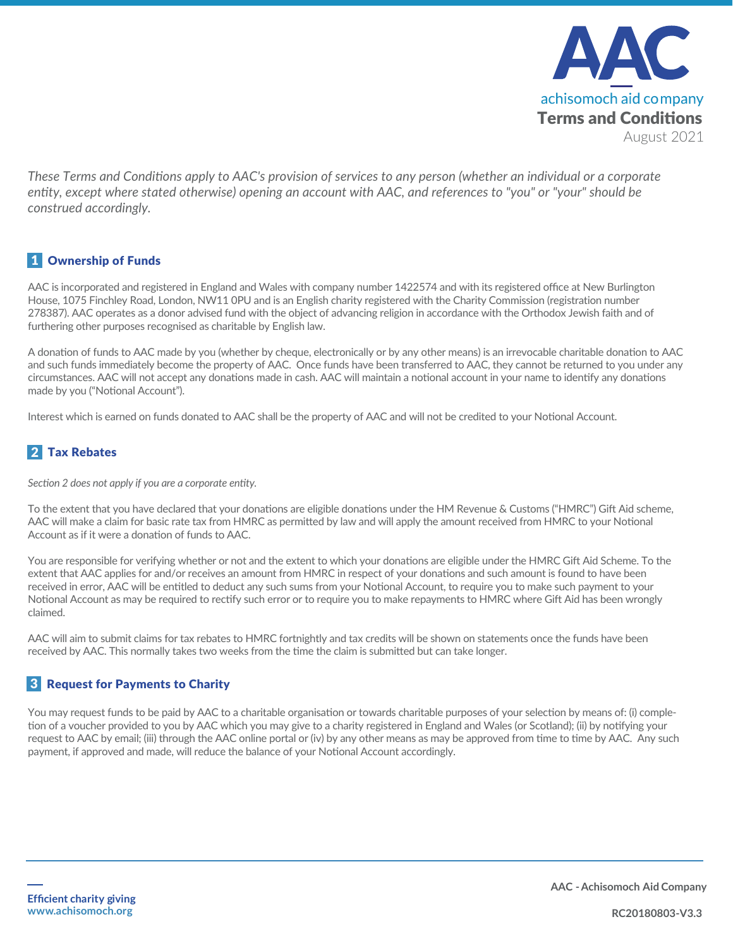

*These Terms and Conditions apply to AAC's provision of services to any person (whether an individual or a corporate entity, except where stated otherwise) opening an account with AAC, and references to "you" or "your" should be construed accordingly.*

### 1 Ownership of Funds

AAC is incorporated and registered in England and Wales with company number 1422574 and with its registered office at New Burlington House, 1075 Finchley Road, London, NW11 0PU and is an English charity registered with the Charity Commission (registration number 278387). AAC operates as a donor advised fund with the object of advancing religion in accordance with the Orthodox Jewish faith and of furthering other purposes recognised as charitable by English law.

A donation of funds to AAC made by you (whether by cheque, electronically or by any other means) is an irrevocable charitable donation to AAC and such funds immediately become the property of AAC. Once funds have been transferred to AAC, they cannot be returned to you under any circumstances. AAC will not accept any donations made in cash. AAC will maintain a notional account in your name to identify any donations made by you ("Notional Account").

Interest which is earned on funds donated to AAC shall be the property of AAC and will not be credited to your Notional Account.

# 2 Tax Rebates

*Section 2 does not apply if you are a corporate entity.* 

To the extent that you have declared that your donations are eligible donations under the HM Revenue & Customs ("HMRC") Gift Aid scheme, AAC will make a claim for basic rate tax from HMRC as permitted by law and will apply the amount received from HMRC to your Notional Account as if it were a donation of funds to AAC.

You are responsible for verifying whether or not and the extent to which your donations are eligible under the HMRC Gift Aid Scheme. To the extent that AAC applies for and/or receives an amount from HMRC in respect of your donations and such amount is found to have been received in error, AAC will be entitled to deduct any such sums from your Notional Account, to require you to make such payment to your Notional Account as may be required to rectify such error or to require you to make repayments to HMRC where Gift Aid has been wrongly claimed.

AAC will aim to submit claims for tax rebates to HMRC fortnightly and tax credits will be shown on statements once the funds have been received by AAC. This normally takes two weeks from the time the claim is submitted but can take longer.

# 3 Request for Payments to Charity

You may request funds to be paid by AAC to a charitable organisation or towards charitable purposes of your selection by means of: (i) completion of a voucher provided to you by AAC which you may give to a charity registered in England and Wales (or Scotland); (ii) by notifying your request to AAC by email; (iii) through the AAC online portal or (iv) by any other means as may be approved from time to time by AAC. Any such payment, if approved and made, will reduce the balance of your Notional Account accordingly.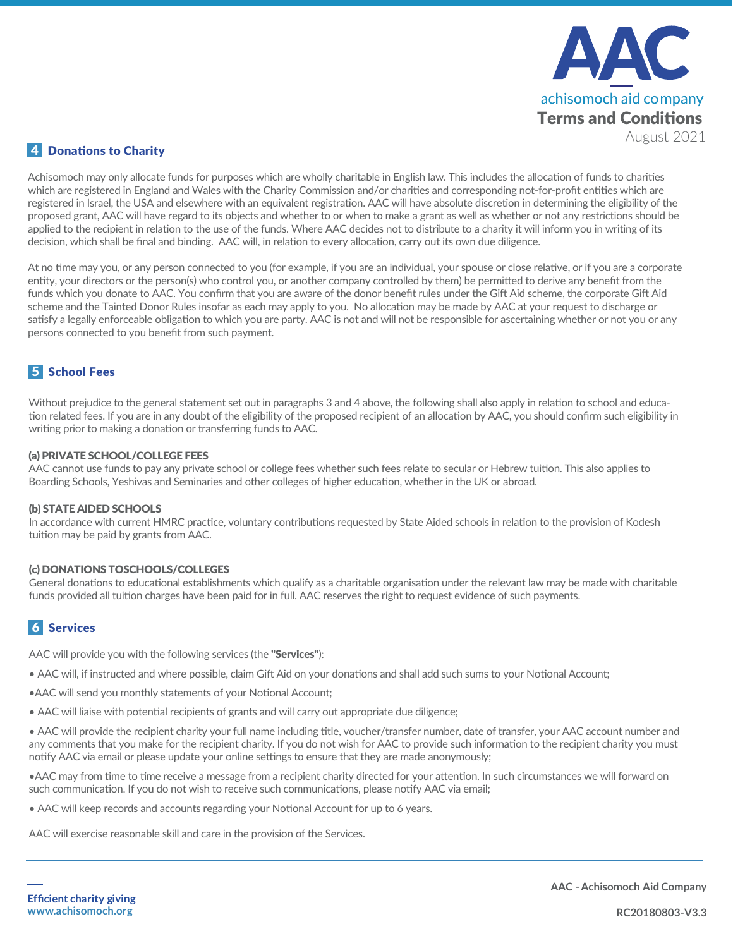

#### 4 Donations to Charity

Achisomoch may only allocate funds for purposes which are wholly charitable in English law. This includes the allocation of funds to charities which are registered in England and Wales with the Charity Commission and/or charities and corresponding not-for-profit entities which are registered in Israel, the USA and elsewhere with an equivalent registration. AAC will have absolute discretion in determining the eligibility of the proposed grant, AAC will have regard to its objects and whether to or when to make a grant as well as whether or not any restrictions should be applied to the recipient in relation to the use of the funds. Where AAC decides not to distribute to a charity it will inform you in writing of its decision, which shall be final and binding. AAC will, in relation to every allocation, carry out its own due diligence.

At no time may you, or any person connected to you (for example, if you are an individual, your spouse or close relative, or if you are a corporate entity, your directors or the person(s) who control you, or another company controlled by them) be permitted to derive any benefit from the funds which you donate to AAC. You confirm that you are aware of the donor benefit rules under the Gift Aid scheme, the corporate Gift Aid scheme and the Tainted Donor Rules insofar as each may apply to you. No allocation may be made by AAC at your request to discharge or satisfy a legally enforceable obligation to which you are party. AAC is not and will not be responsible for ascertaining whether or not you or any persons connected to you benefit from such payment.

# 5 School Fees

Without prejudice to the general statement set out in paragraphs 3 and 4 above, the following shall also apply in relation to school and education related fees. If you are in any doubt of the eligibility of the proposed recipient of an allocation by AAC, you should confirm such eligibility in writing prior to making a donation or transferring funds to AAC.

#### (a) PRIVATE SCHOOL/COLLEGE FEES

AAC cannot use funds to pay any private school or college fees whether such fees relate to secular or Hebrew tuition. This also applies to Boarding Schools, Yeshivas and Seminaries and other colleges of higher education, whether in the UK or abroad.

#### (b) STATE AIDED SCHOOLS

In accordance with current HMRC practice, voluntary contributions requested by State Aided schools in relation to the provision of Kodesh tuition may be paid by grants from AAC.

#### (c) DONATIONS TOSCHOOLS/COLLEGES

General donations to educational establishments which qualify as a charitable organisation under the relevant law may be made with charitable funds provided all tuition charges have been paid for in full. AAC reserves the right to request evidence of such payments.

#### 6 Services

AAC will provide you with the following services (the "Services"):

- AAC will, if instructed and where possible, claim Gift Aid on your donations and shall add such sums to your Notional Account;
- •AAC will send you monthly statements of your Notional Account;
- AAC will liaise with potential recipients of grants and will carry out appropriate due diligence;

• AAC will provide the recipient charity your full name including title, voucher/transfer number, date of transfer, your AAC account number and any comments that you make for the recipient charity. If you do not wish for AAC to provide such information to the recipient charity you must notify AAC via email or please update your online settings to ensure that they are made anonymously;

•AAC may from time to time receive a message from a recipient charity directed for your attention. In such circumstances we will forward on such communication. If you do not wish to receive such communications, please notify AAC via email;

• AAC will keep records and accounts regarding your Notional Account for up to 6 years.

AAC will exercise reasonable skill and care in the provision of the Services.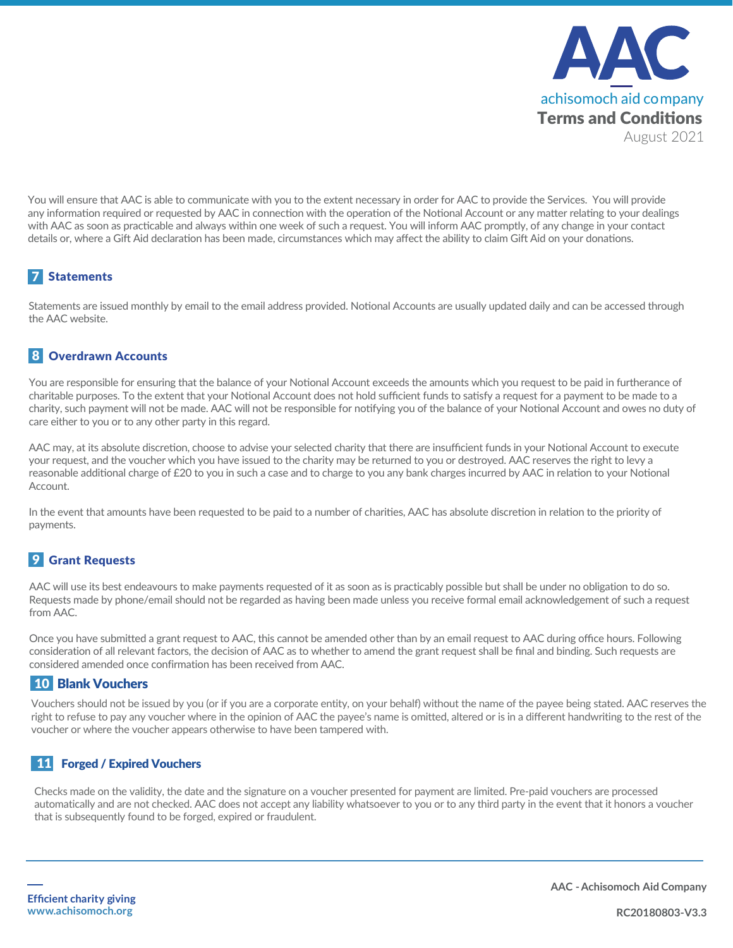

You will ensure that AAC is able to communicate with you to the extent necessary in order for AAC to provide the Services. You will provide any information required or requested by AAC in connection with the operation of the Notional Account or any matter relating to your dealings with AAC as soon as practicable and always within one week of such a request. You will inform AAC promptly, of any change in your contact details or, where a Gift Aid declaration has been made, circumstances which may affect the ability to claim Gift Aid on your donations.

# 7 Statements

Statements are issued monthly by email to the email address provided. Notional Accounts are usually updated daily and can be accessed through the AAC website.

# 8 Overdrawn Accounts

You are responsible for ensuring that the balance of your Notional Account exceeds the amounts which you request to be paid in furtherance of charitable purposes. To the extent that your Notional Account does not hold sufficient funds to satisfy a request for a payment to be made to a charity, such payment will not be made. AAC will not be responsible for notifying you of the balance of your Notional Account and owes no duty of care either to you or to any other party in this regard.

AAC may, at its absolute discretion, choose to advise your selected charity that there are insufficient funds in your Notional Account to execute your request, and the voucher which you have issued to the charity may be returned to you or destroyed. AAC reserves the right to levy a reasonable additional charge of £20 to you in such a case and to charge to you any bank charges incurred by AAC in relation to your Notional Account.

In the event that amounts have been requested to be paid to a number of charities, AAC has absolute discretion in relation to the priority of payments.

# **9** Grant Requests

AAC will use its best endeavours to make payments requested of it as soon as is practicably possible but shall be under no obligation to do so. Requests made by phone/email should not be regarded as having been made unless you receive formal email acknowledgement of such a request from AAC.

Once you have submitted a grant request to AAC, this cannot be amended other than by an email request to AAC during office hours. Following consideration of all relevant factors, the decision of AAC as to whether to amend the grant request shall be final and binding. Such requests are considered amended once confirmation has been received from AAC.

#### **10 Blank Vouchers**

Vouchers should not be issued by you (or if you are a corporate entity, on your behalf) without the name of the payee being stated. AAC reserves the right to refuse to pay any voucher where in the opinion of AAC the payee's name is omitted, altered or is in a different handwriting to the rest of the voucher or where the voucher appears otherwise to have been tampered with.

#### 11 Forged / Expired Vouchers

Checks made on the validity, the date and the signature on a voucher presented for payment are limited. Pre-paid vouchers are processed automatically and are not checked. AAC does not accept any liability whatsoever to you or to any third party in the event that it honors a voucher that is subsequently found to be forged, expired or fraudulent.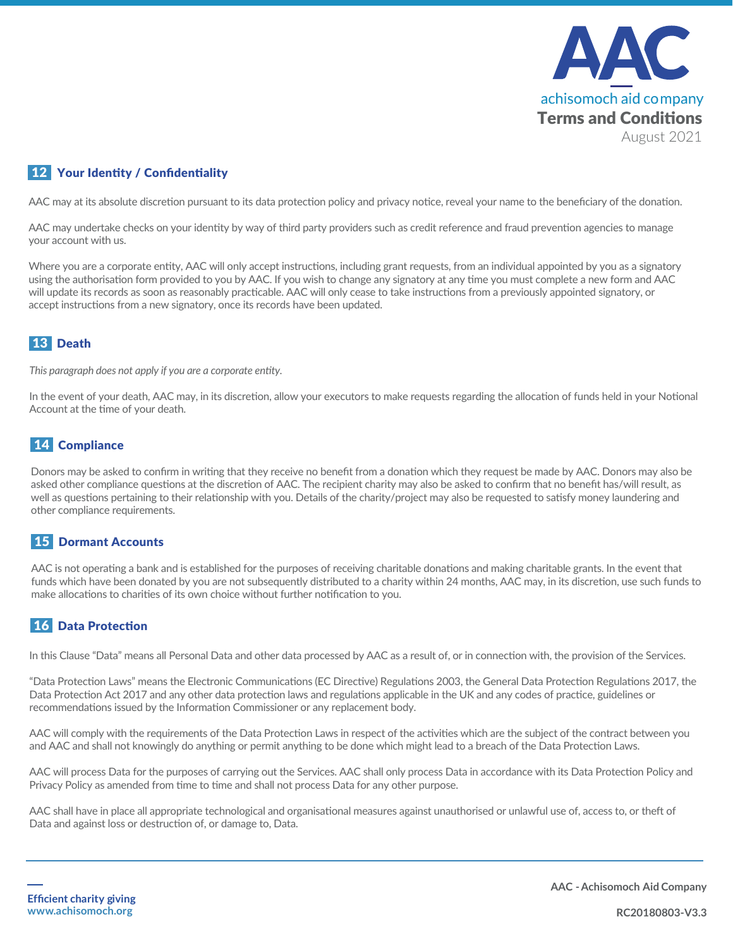

#### 12 Your Identity / Confidentiality

AAC may at its absolute discretion pursuant to its data protection policy and privacy notice, reveal your name to the beneficiary of the donation.

AAC may undertake checks on your identity by way of third party providers such as credit reference and fraud prevention agencies to manage your account with us.

Where you are a corporate entity, AAC will only accept instructions, including grant requests, from an individual appointed by you as a signatory using the authorisation form provided to you by AAC. If you wish to change any signatory at any time you must complete a new form and AAC will update its records as soon as reasonably practicable. AAC will only cease to take instructions from a previously appointed signatory, or accept instructions from a new signatory, once its records have been updated.

# 13 Death

*This paragraph does not apply if you are a corporate entity.* 

In the event of your death, AAC may, in its discretion, allow your executors to make requests regarding the allocation of funds held in your Notional Account at the time of your death.

### 14 Compliance

Donors may be asked to confirm in writing that they receive no benefit from a donation which they request be made by AAC. Donors may also be asked other compliance questions at the discretion of AAC. The recipient charity may also be asked to confirm that no benefit has/will result, as well as questions pertaining to their relationship with you. Details of the charity/project may also be requested to satisfy money laundering and other compliance requirements.

#### **15 Dormant Accounts**

AAC is not operating a bank and is established for the purposes of receiving charitable donations and making charitable grants. In the event that funds which have been donated by you are not subsequently distributed to a charity within 24 months, AAC may, in its discretion, use such funds to make allocations to charities of its own choice without further notification to you.

# 16 Data Protection

In this Clause "Data" means all Personal Data and other data processed by AAC as a result of, or in connection with, the provision of the Services.

"Data Protection Laws" means the Electronic Communications (EC Directive) Regulations 2003, the General Data Protection Regulations 2017, the Data Protection Act 2017 and any other data protection laws and regulations applicable in the UK and any codes of practice, guidelines or recommendations issued by the Information Commissioner or any replacement body.

AAC will comply with the requirements of the Data Protection Laws in respect of the activities which are the subject of the contract between you and AAC and shall not knowingly do anything or permit anything to be done which might lead to a breach of the Data Protection Laws.

AAC will process Data for the purposes of carrying out the Services. AAC shall only process Data in accordance with its Data Protection Policy and Privacy Policy as amended from time to time and shall not process Data for any other purpose.

AAC shall have in place all appropriate technological and organisational measures against unauthorised or unlawful use of, access to, or theft of Data and against loss or destruction of, or damage to, Data.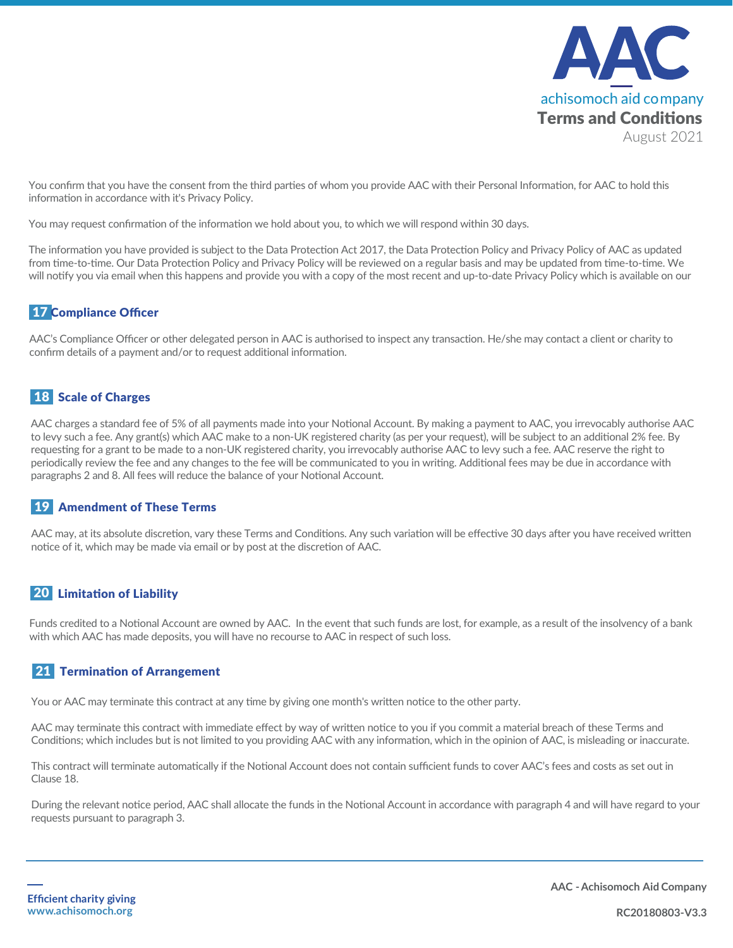

You confirm that you have the consent from the third parties of whom you provide AAC with their Personal Information, for AAC to hold this information in accordance with it's Privacy Policy.

You may request confirmation of the information we hold about you, to which we will respond within 30 days.

The information you have provided is subject to the Data Protection Act 2017, the Data Protection Policy and Privacy Policy of AAC as updated from time-to-time. Our Data Protection Policy and Privacy Policy will be reviewed on a regular basis and may be updated from time-to-time. We will notify you via email when this happens and provide you with a copy of the most recent and up-to-date Privacy Policy which is available on our

#### 17 Compliance Officer

AAC's Compliance Officer or other delegated person in AAC is authorised to inspect any transaction. He/she may contact a client or charity to confirm details of a payment and/or to request additional information.

### **18 Scale of Charges**

AAC charges a standard fee of 5% of all payments made into your Notional Account. By making a payment to AAC, you irrevocably authorise AAC to levy such a fee. Any grant(s) which AAC make to a non-UK registered charity (as per your request), will be subject to an additional 2% fee. By requesting for a grant to be made to a non-UK registered charity, you irrevocably authorise AAC to levy such a fee. AAC reserve the right to periodically review the fee and any changes to the fee will be communicated to you in writing. Additional fees may be due in accordance with paragraphs 2 and 8. All fees will reduce the balance of your Notional Account.

#### 19 Amendment of These Terms

AAC may, at its absolute discretion, vary these Terms and Conditions. Any such variation will be effective 30 days after you have received written notice of it, which may be made via email or by post at the discretion of AAC.

#### **20** Limitation of Liability

Funds credited to a Notional Account are owned by AAC. In the event that such funds are lost, for example, as a result of the insolvency of a bank with which AAC has made deposits, you will have no recourse to AAC in respect of such loss.

#### 21 Termination of Arrangement

You or AAC may terminate this contract at any time by giving one month's written notice to the other party.

AAC may terminate this contract with immediate effect by way of written notice to you if you commit a material breach of these Terms and Conditions; which includes but is not limited to you providing AAC with any information, which in the opinion of AAC, is misleading or inaccurate.

This contract will terminate automatically if the Notional Account does not contain sufficient funds to cover AAC's fees and costs as set out in Clause 18.

During the relevant notice period, AAC shall allocate the funds in the Notional Account in accordance with paragraph 4 and will have regard to your requests pursuant to paragraph 3.